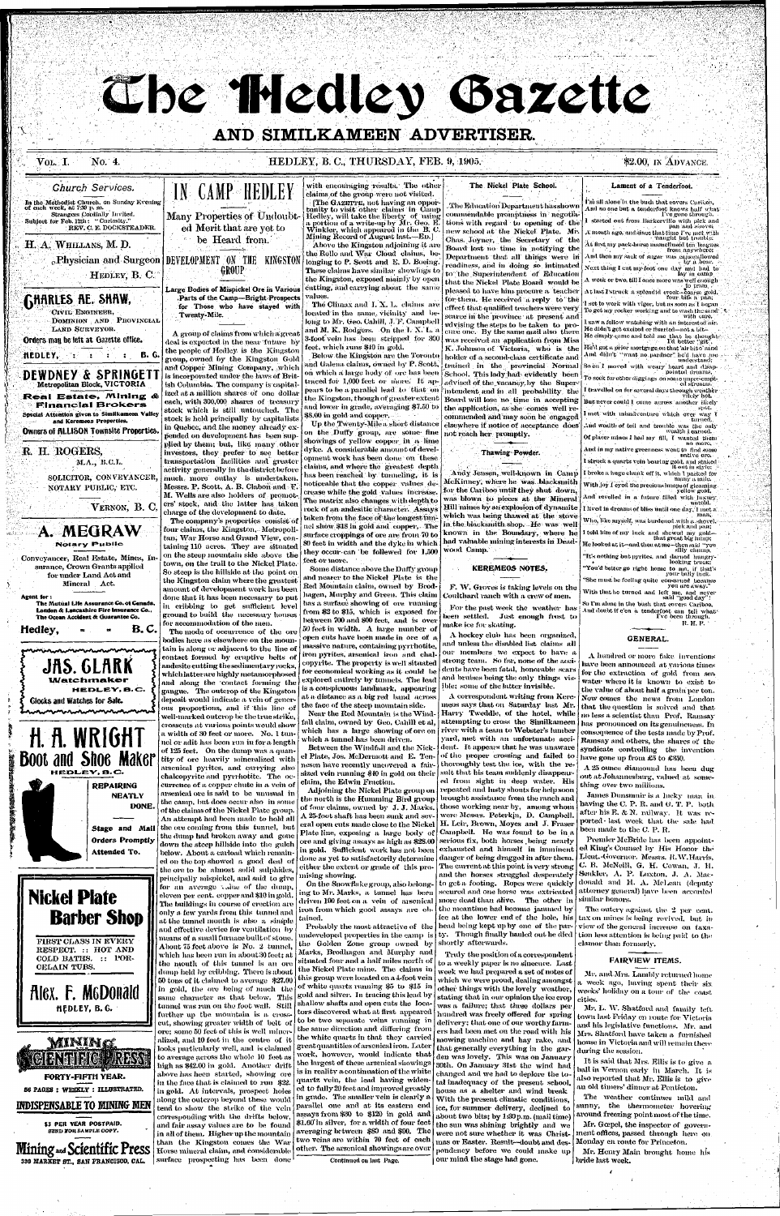# Che Hedley Gazette

# AND SIMILKAMEEN ADVERTISER.

#### No. 4. Vol. I.

# HEDLEY, B. C., THURSDAY, FEB. 9, 1905.

\$2.00, IN ADVANCE.

## **Church Services.**

In the Methodist Church, on Sunday Evening<br>of each week, at 7:30 p. m. Strangers Cordially Invited. Subject for Feb. 12th: "Curiosity." REV. C. E. DOCKSTEADER.

# H. A. WHILLANS, M. D.

<sub>c</sub>.Physician and Surgeon DEVELOPMENT ON THE KINGSTON

HEDLEY, B. C.

**GHARLES AE. SHAW,** CIVIL ENGINEER. DOMINION AND PROVINCIAL LAND SURVEYOR. Orders man be left at Gazette office. HEDLEY,  $\cdot$   $\cdot$   $\cdot$   $\cdot$   $\cdot$   $\cdot$  B. G.

DEWDNEY & SPRINGETT Metropolitan Block, VICTORIA **Real Estate, Mining & Financial Brokers** 

Special Attention given to Similkameen Valley and Keremeos Properties. **Owners of RLLISON Townsite Properties** 

R. H. ROGERS, M.A., B.C.L.

> SOLICITOR, CONVEYANCER, NOTARY PUBLIC, ETC.

> > VERNON, B. C.

A. MEGRAW **Notary Public** Conveyancer, Real Estate, Mines, In-

surance, Crown Grants applied for under Land Act and Mineral Act.

Agent for : The Mutual Life Assurance Co. of Canada, London & Lancashire Fire Insurance Co... The Ocean Accident & Guarantee Co.

B. C. Hedley,

with encouraging results. The other claims of the group were not visited. The GAZETTE, not having an oppor-

tunity to visit other claims in Camp<br>Hedley, will take the liberty of using a portion of a write-up by Mr. Geo. E.<br>Winkler, which appeared in the B. C.<br>Mining Record of August last.—ED.]  $\mathbb{Z}$  Above the Kingston adjoining it are the Rollo and War Cloud claims, be longing to P. Scott and E. D. Boeing. These claims have similar showings to the Kingston, exposed mainly by open cutting, and carrying about the same values.

The Climax and I. X. L. claims are located in the same vicinity and belong to Mr. Geo. Cahill, J. F. Campbell and M. K. Rodgers. On the I. X. L. a 3-foot vein has been stripped for 300 feet, which runs \$40 in gold.

Below the Kingston are the Toronto and Galena claims, owned by P. Scott, on which a large hody of ore has been traced for 1,000 feet or more. It appears to be a parallel lead to that on the Kingston, though of greater extent and lower in grade, averaging \$7.50 to \$8.00 in gold and copper.

Up the Twenty-Mile a short distance on the Duffy group, are some fine showings of yellow copper in a lime dyke. A considerable amount of development work has been done on these claims, and where the greatest depth has been reached by tunneling, it is noticeable that the copper values decrease while the gold values increase. The matrix also changes with depth to rock of an andesitic character. Assays taken from the face of the longest tunnel show \$18 in gold and copper, The surface croppings of ore are from 70 to 80 feet in width and the dyke in which they occur can be follewed for 1,500 feet or more.

Some distance above the Duffy group and nearer to the Nickel Plate is the Red Mountain claim, owned by Brodhagen, Murphy and Green. This claim has a surface showing of ore running from \$2 to \$15, which is exposed for between 700 and 800 feet, and is over 50 feet in width. A large number of oven cuts have been made in ore, of a massive nature, containing pyrrhotite, iron pyrites, arsenical iron and chalcopyrite. The property is well situated for economical working as it could be explored entirely by tunnels. The lead is a conspicuous landmark, appearing at a distance as a big red band across the face of the steep mountain side. Near the Red Mountain is the Windfall claim, owned by Geo. Cahill et al. which has a large showing of ore on which a tunnel has been driven.

# The Nickel Plate School.

. The Education Department has shown commendable promptness in negotia tions with regard to opening of the new school at the Nickel Plate. Mr. Chas. Joyner, the Secretary of the Board lost no time in notifying the Department that all things were in readiness, and in doing so intimated to the Superintendent of Education that the Nickel Plate Board would be pleased to have him procure a teacher for them. He received a reply to the effect that qualified teachers were very scarce in the province at present and whister the steps to be taken to procure one. By the same mail also there was received an application from Miss K. Johnson of Victoria, who is the holder of a second-class certificate and trained in the provincial Normal School. This lady had evidently been advised of the vacancy by the Superintendent and in all probability the Board will lose no time in accepting the application, as she comes well recommended and may soon be engaged elsewhere if notice of acceptance does not reach her promptly.

# Thawing Powder.

Andy Jensen, well-known in Camp McKinney, where he was blacksmith for the Cariboo until they shut down. was blown to pieces at the Mineral Hill mines by an explosion of dynamite | which was being thawed at the stove in the blacksmith shop. He was well known in the Boundary, where he had valuable mining interests in Deadwood Camp.

#### **KEREMEOS NOTES.**

F. W. Groves is taking levels on the Coulthard ranch with a crew of men.

For the past week the weather has been settled. Just enough frost to make ice for skating.

A hockey club has been organized,

# I'm all alone in the bush that covers Cariboo.

Lament of a Tenderfoot.

And no one but a tenderfoot knows balf what<br>I've gone through. started out from Barkerville with pick and pan and shove A month ago, and since that time I've met with aught but trou Åt first my pack-horse mamellused ten leagues from anywhere: And then my sack of sugar was capswallowed Next thing I cut my foot one day and had to<br>hay in camp A week or two, till I once more was well enough . At last I struck a splendid creek-coarse gold,<br>four bits a pan; set to work with vigor, but as soon as I bogan To get my rocker working and to wash the sand' with care. I saw a fellow watching with an interested air. He didn't get excited or flurried—not a bit— He simply came and told me that he thoughts<br>I'd better "git", He'd got a prior mortgage on that 'air bit o' sand And, didn't "want no pardner" he'd have me So on I moved with weary heart and disappear of the pointed dreams, To seek for other diggings on some unpre-empt-<br>cd streams. I travelled on for several days through weather But never could I come across another likely I met with misadventure which ever way I turned, and wealth of toil and trouble was the only wealth I carned. Of placer mines I had my fill, I wanted them And in my native greenness went to find some native or I struck a quartz vein bearing gold, and staked it out in style: I broke a huge chunk off it, which I packed for many a mile. With joy I eyed the precious lumps of gleaming And revolted in a future filled with insury I lived in dreams of bliss until one day, I met a

Who, like myself, was burdened with a shovel. pick,and pan; I told him of my luck and shewed my gold-<br>that great big himp; He looked at it-and then at me-then said "you" silly champ. "It's nothing but pyrites, and darned hungryoking truck: "You'd better go right home to ma, if that's<br>your bally luck.

"She must be feeling quite consarned because<br>you are away." With that he turned and left me, and never<br>said "good day"!

So I'm alone in the bush that covers Cariboo, And doubt if c'en a tenderfoot can tell what R. H. P.



# **Nickel Plate Barber Shop**

FIRST CLASS IN EVERY RESPECT. :: HOT AND COLD BATHS. :: POR-CELAIN TUBS.

**Alex. F. McDonald** HEDLEY, B.G.



ground to build the necessary houses for accommodation of the men. The mode of occurrence of the ore bodies here as elsewhere on the moun tain is along or adjacent to the line of contact formed by eruptive belts of andesite cutting the sedimentary rocks. which latterare highly metamorphosed and along the contact forming the gangue. The outcrop of the Kingston deposit would indicate a vein of generous proportions, and if this line of well-marked outcrop be the true strike, crosscuts at various points would show a width of 30 feet or more. No. 1 tunnel or adit has been run in for a length of 125 feet. On the dump was a quantity of ore heavily mineralized with arsenical pyrites, and carrying also chalcopyrite and pyrrhotite. The occurrence of a copper chute in a vein of arsenical ore is said to be unusual in the camp, but does occur also in some of the claims of the Nickel Plate group. An attempt had been made to hold all the ore coming from this tunnel, but the dump had broken away and gone down the steep hillside into the gulch below. About a carload which remain ed on the top showed a good deal of the ore to be almost solid sulphides principally mispickel, and said-to give for an average volue of the dump eleven per cent. copper and \$10 in gold The buildings in course of crection are only a few yards from this tunnel and at the tunnel mouth is also a simple and effective device for ventilation by

IN CAMP HEDLEY

Many Properties of Undoubt-

ed Merit that are yet to

be Heard from.

GROUP

Large Bodies of Mispickel Ore in Various

A group of claims from which a great

deal is expected in the near future by

the people of Hedley is the Kingston

group, owned by the Kingston Gold

and Copper Mining Company, which

is incorporated under the laws of Brit-

ish Columbia. The company is capital-

ized at a million shares of one dollar

each, with 300,000 shares of treasury

stock which is still untouched. The

stock is held principally by capitalists

in Quebec, and the money already ex-

pended on development has been sup-

plied by them; but, like many other

investors, they prefer to see better

transportation facilities and greater

activity generally in the district before

much more outlay is undertaken

Messrs. P. Scott, A. B. Clabon and F.

M. Wells are also holders of promot

ers' stock, and the latter has taken

The company's properties consist o

four claims, the Kingston,-Metropoli-

tan, War Horse and Grand View, con-

taining 110 acres. They are situated

on the steep mountain side above the

town, on the trail to the Nickel Plate.

So steep is the hillside at the point on

the Kingston claim where the greatest

amount of development work has been

done that it has been necessary to put

in cribbing to get sufficient level

charge of the development to date.

Twenty-Mile.

Parts of the Camp-Bright Prospects

for Those who have stayed with

means of a small furnace built of stone. About 75 feet above is No. 2 tunnel. which has been run in about 30 feet: at the mouth of this tunnel is an ore dump held by cribbing. There is about 50 tons of it claimed to average \$27.00 in gold, the ore being of much the same character as that below. This tunnel was run on the foot wall. Still further up the mountain is a crosscut, showing greater width of belt of ore; some 50 feet of this is well mineralized, and 10 feet in the centre of it looks particularly well, and is claimed to average across the whole 10 feet as high as \$42.00 in gold. Another drift above has heen started, showing ore in the face that is claimed to run \$22. in gold. At intervals, prospect holes along the outeron beyond these would tend to show the strike of the vein corresponding with the drifts below, and fair assay values are to be found in all of them. Higher up the mountain than the Kingston comes the War Horse mineral claim, and considerable surface prospecting has been done

Between the Windfall and the Nickel Plate, Jos. McDermott and E. Ten-[ nesen have recently uncovered a fairsized vein running \$40 in gold on their | claim, the Edwin Fraction.

Adioining the Nickel Plate group on the north is the Hunnning Bird group | of four claims, owned by J. J. Marks. A 25-foot shaft has been sunk and several open cuts made close to the Nickel  $\vert$  H. Leir, Brown, Moyes and J. Fraser Plate line, exposing a large body of Campbell. He was found to be in a ore and giving assays as high as \$28.00 serious fix, both horses being nearly in gold. Sufficient work has not been exhausted and himself in imminent done as yet to satisfactorily determine danger of being dragged in after them. either the extent or grade of this promising showing.

On the Snowflake group, also belonging to Mr. Marks, a tunnel has been driven 190 feet on a | vein | of | arsenical iron from which good assays are ob tained,

Probably the most attractive of the andeveloped properties in the camp–is the Golden Zone group owned by Marks, Brodhagen and Murphy and situated four and a half miles north of the Nickel Plate mine. The claims in this group were located on a 4-foot vein of white quartz running \$5 to \$15 in gold and silver. In tracing this lead by shallow shafts and open cuts the locators discovered what at first appeared to be two separate veins running in the same direction and differing from the white quartz in that they carried great quantities of arsenical iron. Later work, however, would indicate that the largest of these arsenical showings is in reality a continuation of the white quartz vein, the lead having widened to fully 20 feet and improved greatly in grade. The smaller vein is clearly a parallel one and at its eastern end assays from \$30 to \$120 in gold and \$1.60 in silver, for a width of four feet averaging between \$80 and \$90. The two veins are within 70 feet of each other. The arsenical showings are over

Continued on last Page.

and unless the disabled list claims all our members we expect to have a strong team. So far, none of the accidents have been fatal, honorable scars and bruises being the only things visible; some of the latter invisible.

A correspondent writing from Keremeos says that on Saturday last Mr. Harry Tweddle, of the hotel, while attempting to cross the Similkameen river with a team to Webster's hunber yard, met with an unfortunate accident. It appears that he was unaware of the proper crossing and failed to thoroughly test the ice, with the resuit that his team suddenly disappeared from sight in deep water. His

repeated and lusty shouts for help soon brought assistance from the ranch and those working near by, among whom were Messrs. Peterkin, D. Campbell. The current at this point is very strong and the horses struggled desperately to get a footing. Ropes were quickly secured and one horse was extricated more dead than alive. The other in

the meantime had become januned by ice at the lower end ef the hole, his head being kept up by one of the party. Though finally hauled out he died shortly afterwards.

Truly the position of a correspondent to a weekly paper is no sinecure. Last week we had prepared a set of notes of which we were proud, dealing amongst other things with the lovely weather, stating that in our opinion the ice crop was a failure; that three dollars per hundred was freely offered for spring delivery; that one of our worthy farmers had been met on the road with his mowing machine and hay rake, and that generally everything in the garden was lovely. This was on January 30th. On January 31st the wind had changed and we had to deplore the total inadequacy of the present school, house as a shelter and wind break With the present climatic conditions, ice, for summer delivery, declined to about two bits; by 1:30 p.m. (mail time) the sun was shining brightly and we were not sure whether it was Christmas or Easter. Result—doubt and desnondency before we could make up our mind the stage had gone.

**GENERAL** 

A hundred or more fake inventions have been announced at yarious times for the extraction of gold from sea water where it is known to exist to the value of about half a grain per ton. Now comes the news from London that the question is solved and that no less a scientist than Prof. Ramsay has pronounced on its genuineness. In consequence of the tests made by Prof. Ramsay and others, the shares of the syndicate controlling the invention have gone up from £5 to £350.

A 25 ounce diamound has been dug out at Johannesburg, valued at something over two millions.

James Dunsmuir is a lucky man inhaving the C. P. R. and G. T. P. both after his E. & N. railway. It was reported last week that the sale had been made to the C. P. R.

Premier McBride has been appointed King's Counsel by His Honor the Lieut.-Governor. Messes. R.W.Harris, C. B. McNeill, G. H. Cowan, J. H. Senkler, A. P. Luxton, J. A. Macdonald and H. A. McLean (deputy attorney general) have been accorded similar honors.

The outery against the 2 per cent. tax on mines is being revived, but in view of the general increase on taxation less attention is being paid to the clamor than formerly.

### **FAIRVIEW ITEMS.**

Mr. and Mrs. Lambly returned home a week ago, having spent their six. weeks' holiday on a tour of the coast cities.

Mr. L. W. Shatford and family left town last Friday en route for Victoria and his legislative functions. Mr. and Mrs. Shatford have taken a furnished house in Victoria and will remain there during the session.

It is said that Mrs. Ellis is to give a ball in Vernon early in March. It is also reported that Mr. Ellis is to give an old timers' dinner at Penticton.

The weather continues mild and sunny, the thermometer hovering around freezing point most of the time.

Mr. Gœpel, the inspector of government offices, passed through here on Monday en route for Princeton.

Mr. Henry Main brought home his bride last week.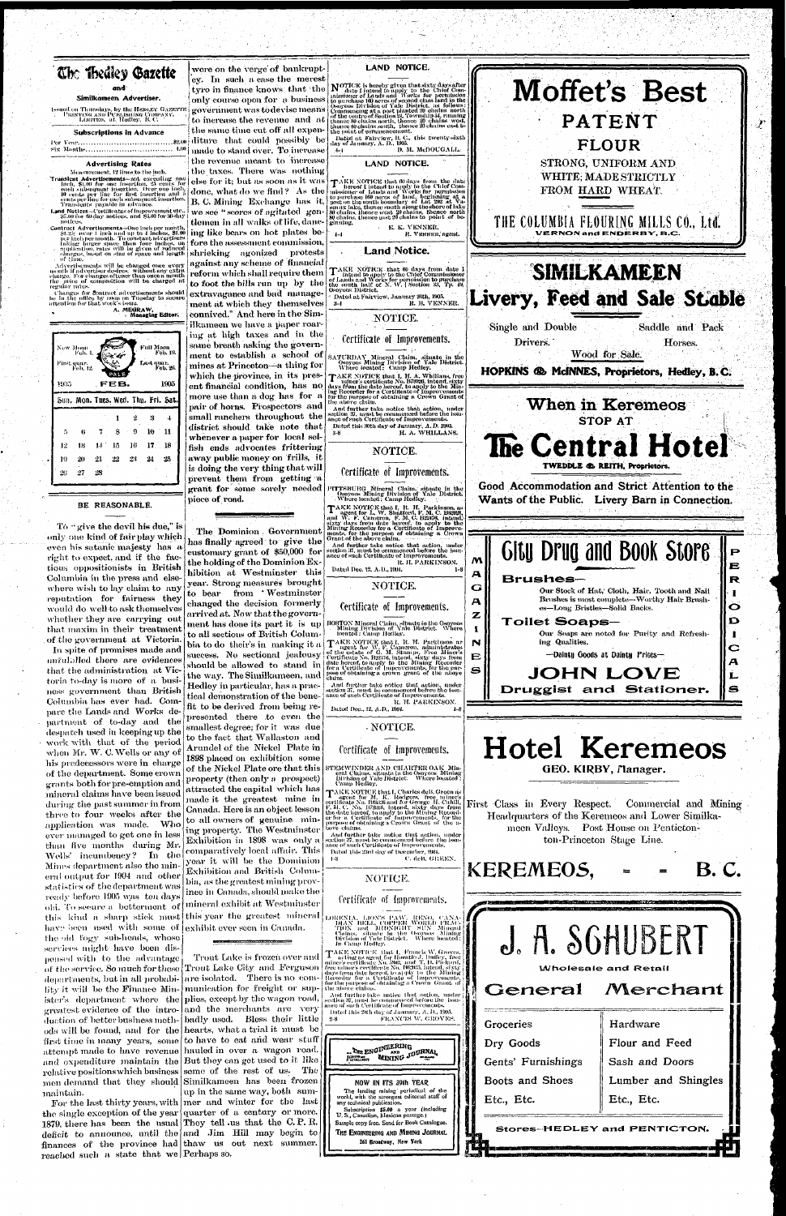

 $\boldsymbol{r}$ 



1905

|                 | Sun. Mon. Tues, Wed. Thu. Fri. Sat. |                   |         |         |           |    |
|-----------------|-------------------------------------|-------------------|---------|---------|-----------|----|
|                 |                                     |                   |         | $\cdot$ |           |    |
| 5               | 6.                                  | $\mathbf{7}$      | $8 \t9$ |         | $10 - 11$ |    |
| 12 <sub>1</sub> |                                     | 13 14 15 16 17 18 |         |         |           |    |
| 19              | 20                                  | 21                | 22      | - 23    | $_{24}$   | 25 |
| 20              | 27                                  | 28                |         |         |           |    |

BE REASONABLE.

To "give the devil his due," is only one kind of fair play which even his satanic majesty has a right to expect, and if the factious oppositionists in British Columbia in the press and elsewhere wish to lay claim to any reputation for fairness they would do well to ask themselves whether they are carrying out that maxim in their treatment of the government at Victoria. In spite of promises made and unfulnlled there are evidences that the administration at Victoria to-day is more of a business government than British Columbia has ever had. Compare the Lands and Works department of to-day and the despatch used in keeping up the work with that of the period when Mr. W. C. Wells or any of his predecessors were in charge of the department. Some crown grants both for pre-emption and mineral claims have been issued during the past summer in from three to four weeks after the application was made. Who ever managed to get one in less than five months during Mr. Wells' incumbency? In the Mines department also the mineral output for 1904 and other statistics of the department was ready before 1905 was ten days old. To seeare a betterment of this kind a sharp stick must have been used with some of the old fogy sub-heads, whose services might have been dispensed with to the advantage of the service. So much for these departments, but in all probability it will be the Finance Minister's department where the greatest evidence of the introduction of better business methfirst time in many years, some maintain.

Similkameen Advertiser. Issued on Thuesdays, by the Henley GAzerr<br>PEINTING AND PUBLISHING COMPANY,<br>LIMITED, at Hedley, B. C.

**Subscriptions in Advance** 

#### 

#### **Advertising Rates**

Measurement, 12 lines to the inch.

Transient Advertisements-not executing on matern Advertisements—not executing once<br>
find, \$1.00 for one insertion, 25 cents for<br>
each subsequent insertion. Over one inch<br>
10 cents per line for this insertion and if<br>
cents per line for each subsequent insertion.<br>
T

Land Notices-Certificates of improvement etc.<br>SLan for 60-day notices, and \$5.00 for 30-day notices.

Contract Advertisements-One inch per month St.25; over I inch and up to 4 inches, \$1.00<br>per inch per month. To constant advertisers faking larger space than four inches, on<br>application, rates will be given of reduced<br>charges, based on size of space and length of time.

Advertisements will be changed once every<br>month if advertiser desires, without any extra<br>charge. For changes oftener than once a month<br>the price of composition will be charged at regniar rates.

Changes for contract advertisements should<br>be further office by noon on Tuesday to secure<br>artention for that week's issue.

A. MEGRAW,<br>Managing Editor.

.<br>Full Moon<br>Feb. 19. New Moon<br>Feb. 4 First quar.<br>Feb. 12. Last quar.<br>Feb. 26 1905 FEB.

ods will be found, and for the hearts, what a trial it must be attempt made to have revenue hauled in over a wagon road. and expenditure maintain the But they can get used to it like relative positions which business seme of the rest of us. The men demand that they should Similkameen has been frozen For the last thirty years, with mer and winter for the last

the single exception of the year quarter of a century or more. 1879, there has been the usual They tell us that the C.P.R. deficit to announce, until the and Jim Hill may begin to finances of the province had thaw us out next summer. reached such a state that we Perhaps so.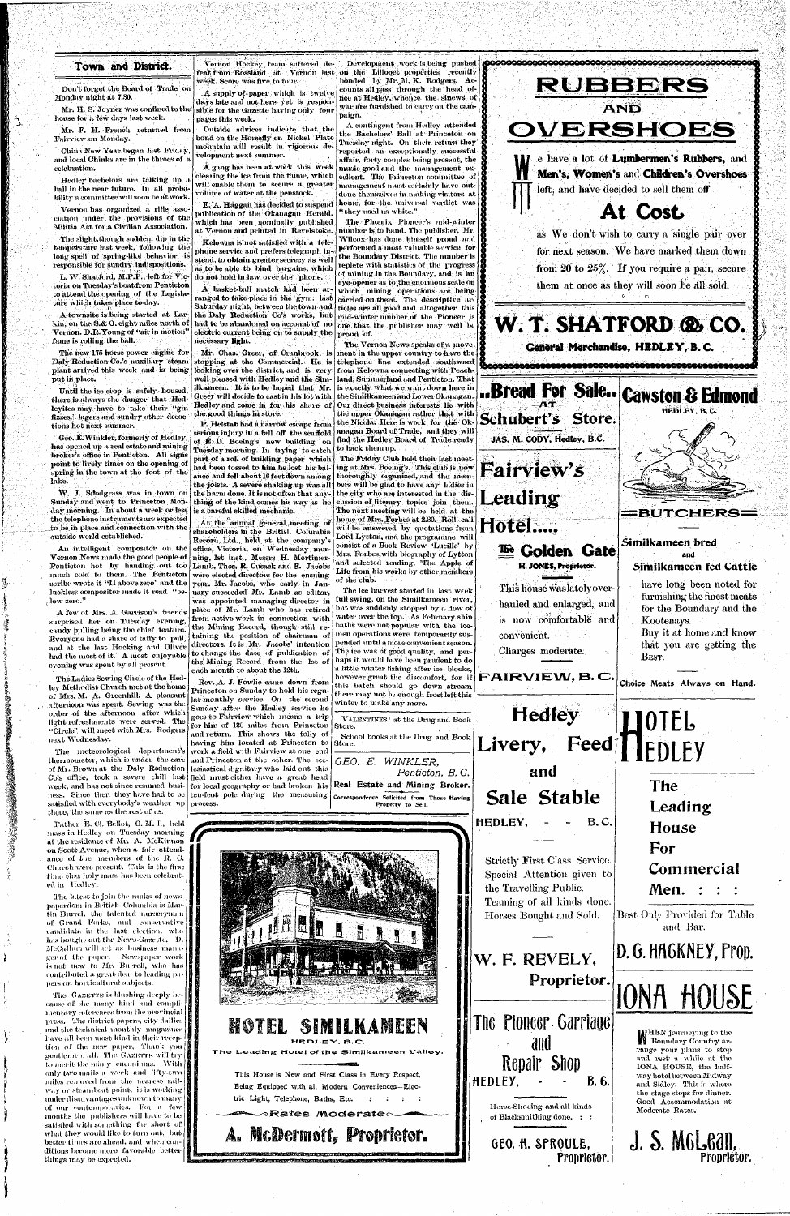# Town and District.

Don't forget the Board of Trade on Monday night at 7.30.

Mr. H. S. Joyner was confined to the house for a few days last week.

 $\mathcal{L}$ 

Mr. F. H. French returned from 'Fairview on Monday.

China New Year began last Friday, and local Chinks are in the throes of a celebration.

Hedley bachelors are talking up a hall in the near future. In all probability a committee will soon be at work.

Vernon has organized a rifle association under the provisions of the Militia Act for a Civilian Association.

The slight,though sudden, dip in the temperature last week, following the long spell of spring-like behavior, is responsible for sundry indispositions.

Until the ice crop is safely housed, there is always the danger that Hedleyites may have to take their "gin fizzes," lagers and sundry other decoctions hot next summer.

L. W. Shatford, M.P.P., left for Victoria on Tuesday's boat from Penticton to attend the opening of the Legislatiire which takes place to-day.

**f**  A townsite is being started at Larkin, on the S.& O. eight miles north of Vernon. D.R.Young of "air in motion" fame is rolling the ball.

The new 175 horse power engine for Daly Reduction Co.'s auxiliary steam plant arrived this week and is being put in place.

Geo. B.Winkler, formerly of Hedley, has opened up a real estate and mining broker's office in Penticton. All signs point to lively times on the opening of spring in the town at the foot of the lake.

Sunday and went to Princeton Monday morning. Tn about a week or less the telephone instruments are expectad to he in place and connection with the outside world established.

An intelligent compositor on the Vernon News made the good people of Penticton hot by handing out too Lamb, Thos. R. Cusack and E. Jacobs much cold to them. The Penticton scribe wrote it "11 above zero" and the luckless compositor made it read "be- ( low zero."

A few of Mrs. A. Garrison's friends surprised her on Tuesday evening, candy pulling being the chief feature. Everyone had a share of taffy to pull, and at the last Hocking and Oliver had the most of it. A most enjoyable evening was spent by all present.

The GAZETTE is blushing deeply because of the many kind and complimentary references from the provincial press. The district papers, city dailies and the technical monthly magazines have all been most kind in their reception of the new paper, Thank you gentlemen, all. The GAZKTTE will try to merit the many enconiums. With  $\vert \vert$ only two mails a, week, and fifty-two  $\frac{8}{3}$ miles removed from the nearest railway or steamboat point, it is working  $\left| \right|$ under disadvantages unknown to many of our contemporaries. For a few months the publishers will have to he satisfied with something far short of what they would like to turn out, but better times are ahead, and when conditions become more favorable better things may be expected.

The Ladies Sewing Circle of the Hedley Methodist Church met at the home of Mrs. M. A. Greenhill. A pleasant . afternoon was spent. Sewing was the order of the afternoon after which light refreshments were served. The "Circle", will meet with Mrs. Rodgers next Wednesday.

A gang has been at work this week clearing the ice from the flume, which will enable them to secure a greater volume of water at the penstock.

The meteorological department's thermometer, which is under the care of Mr. Brown at the Daly Reduction C'o's office, took a. severe chill last week, and has not since resumed busisatisfied with everybody's weather up there, 'the same as the rest of us.

Father E. CI. Bellot, O. M. I.., held mass in Hedley on Tuesday morning at the residence of Mr. A. McKinnon on Scott Avenue, when a fair attendance of the members of the R. C Church were present. This is the first time that holy mass has been celebrated in Hedley.

W. J. Sitodgrass was in town on the harm done. It is not often that any-P. Helstab had a harrow escape from serious injury iu a fall off the scaffold of E.D. Boeing's new building on Tuesday morning. In trying to catch part of a roll of building paper which had been tossed to him he lost his balance and fell about 16 feet down among the joists. A severe shaking up was all thing of the kind comes his way as he is a careful skilled mechanic.

The latest to join the ranks of newspapordom in British Columbia is Martin Burrel. the talented nurseryman | \ of Grand Forks, and conservative candidate in the last election, who has bought out the News-Gazette. I). MeCallum will act as business manager of the paper. Newspaper work is not new to Mr. Burrell, who has  $\frac{m}{2}$ contributed a great deal to leading papers on horticultural subjects.

ness. Since then they have had to be ten-feot pole during the measuring place, of Mr. Lamb who has retired from active work in connection with the Mining Record, though still retaining the position of chairman of directors. It is Mr. Jacobs' intention pended until a more convenient season. to change the date of publication of the! Mining Record from the 1st of each month to about the 12th. Rev..A. J. Fowlie came down from : Princeton on Sunday to hold his regular monthly service. On the second Sunday after the Hedley service he goes to Fairview which means a trip for him of 130 miles from Princeton and return. This shows the folly of having him located at Princeton to work a field with Fairview at one end and Princeton at the other. The ecclesiastical dignitary who laid out this field must either have a great head for local geography or had broken his pi-ocess.

Vernon Hockey team suffered defeat from Rossland at Vernon last week. Score was five to four.

A supply of paper which is twelve days late and not here yet is responsible for the Gazette having only four pages this week.

Outside advices indicate that the bond on the Horsefly on Nickel Plate mountain will result in vigorous development next summer.

E. A. Haggan has decided to suspend publication of the Okanagan Herald, which has been nominally published at Vernon and printed in Revelstoke.

> The ice harvest started in last week full swing, on the Similkameen river, but was suddenly stopped by a flow of water over the top. As February shin baths were not popular with the icemen operations were temporarily sus-The ice was of good quality, and per-

.Kelowna is not satisfied with a telephone service and prefers telegraph instead, to obtain greater secrecy as well as to be able tb hind bargains, which do not hold in law over the 'phone.

A basket-ball match had been arranged to take place in the gym. last Saturday night, between the town and the Daly Reduction Co's works, but had to be abandoned on account of no electric current being on to supply the necessary light.

Mr. Chas. Greer, of Cranbrook, is stopping at the Commercial. He is looking over the district, and is very well pleased with Hedley and the Similkameen. It is to be hoped that Mr. Greer will decide to cast in his lot with Hedley and come in for his share of the good things in store. •

> Being Equipped with all Modern Conveniences—Electric Light, Telephone, Baths, Etc. : : : :

Horse-Shoeing and all kinds of Blacksmithing done. : :

**K** HEN journeying to the range your plans to stop and rest a while at the 10NA HOUSE, the halfway hotel between Midway and Sidley. This is where the stage stops for dinner. Good Accommodation at Moderate Rates.

At the annual general meeting of shareholders in the British Columbia Record. Ltd.. held at the company's office, Victoria, on Wednesday morning, 1st inst., Messrs H. Mortimerwere elected directors for the ensuing year. Mr. Jacobs, who early in January succeeded Mr. Lamb as editor, was appointed managing director in

Development work is being pushed

on the Lillooet properties recently bonded by Mr. M. K. Rodgers. Accounts all pass through the head office at Hedley, whence the sinews of war are furnished to carry on the campaign.

A contingent from Medley attended the Bachelors' Ball at Princeton on Tuesday night. On their return they reported an exceptionally successful affair, forty couples being present, the music good and the management excellent. The Princeton committee of management must certainly have outdone themselves in making visitors at home, for the universal verdict was "they used us white."

The Phoenix Pioneer's mid-winter number is to hand. The publisher, Mr. Wilcox has done himself proud and performed a most valuable service for the Boundary District. The number is replete with statistics of the progress of mining in the Boundary, and is an eye-opener as to the enormous scale on which mining operations are being carried on there. The descriptive articles are all good and altogether this mid-winter number of the Pioneer is one that the publisher may well be proud of.

The Vernon News speaks of a movement in the upper country to have the telephone line extended southward from Kelowna connecting with Peachland; Sunnnerlandand Penticton. That is exactly what we want down here in the Similkameen and Lower Okanagan. Our direct business interests lie with the upper Okanagan rather that with the Nicola. Here is work for the Okanagan Board of Trade, and they will find the Hedley Board of Trade ready to back them up.

The Friday Club held their last meeting at Mrs. Boeing's. ,This club is now thoroughly organized, and the members will be glad to have any ladies in the city who are interested in the discussion of literary topics join them. The next meeting will be held at the home of Mrs. Forbes at 2.30. Roll call will be answered by quotations from Lord Lyttoh, and the programme will consist of a Book Review 'Lucille' by Mrs. Forbes,with biography of Lytton and selected reading, 'The Apple of Life from, his works by other members of the club.

haps it would have been prudent to do a little winter fishing after ice blocks,

this batch should go down stream there may not he enough frost left this



VALENTINES ! at the Drug and Book

Store.

School books at the Drug and Book

Store.

a little winter fishing after ice blocks,<br>however great the discomfort, for if  $\left|\mathbf{FAIRVI}\mathbf{E}\mathbf{W}\mathbf{,B}\mathbf{.C}\mathbf{.}\right|$ 

This house was lately over-

hauled and enlarged, and

is now comfortable and

convenient.

Charges moderate.

Livery, Feed

**Hedley** 

*GEO. E. WINKLER,* 

*Penticton, B. G.* 

winter to make any more.

**Real Estate and Mining Broker. Correspondence Solicited from Those Having: Property to Sell.** 

**and** 

Sale Stable

**HEDLEY,** = - **B.C.** 

**and Similkameen fed Cattle** 

> have long been noted for furnishing the finest meats for the Boundary and the .Kootenays.

Buy it at home and know that you are getting the

**Choice Meats Always on Hand.** 

BEST.

**OTEL EDLEY**  The Leading House For Commercial Men. Best Only Provided for Table and Bar. D. G. HACKNEY, Prop.





**>Ratte s TVlocSeraitoc** 

A. McDermott. Proprietor.

n MB Bebare and David States of Commission and Commission and Commission and Commission and Commission and Com

GEO. ft. SPR0UL&,

Proprietor.

**H. JONES, Proprietor.** 

**J. s. McLean,** 

Proprietor.